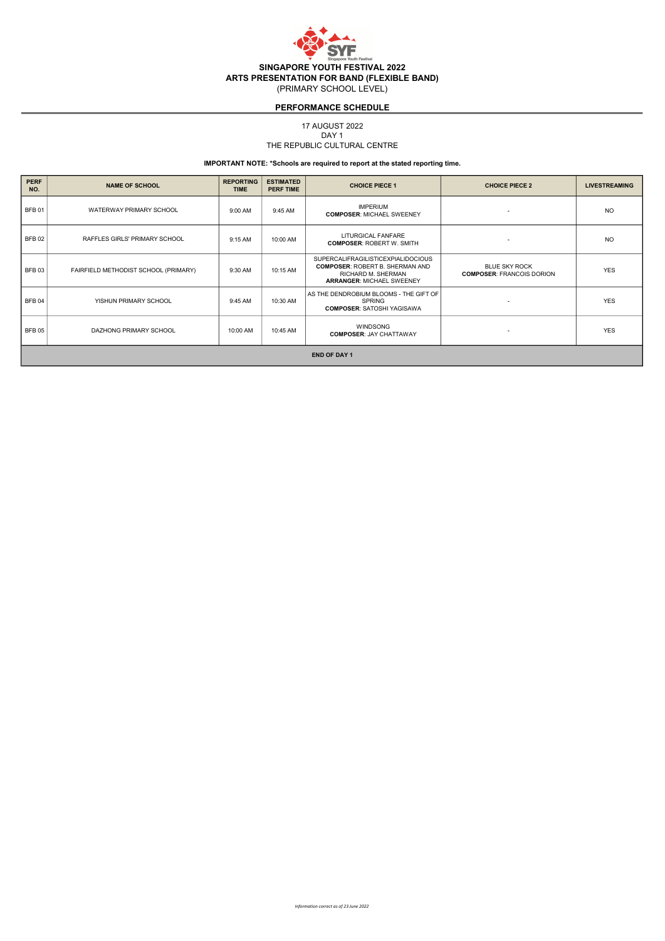

17 AUGUST 2022

#### THE REPUBLIC CULTURAL CENTRE DAY<sub>1</sub>

| <b>PERF</b><br>NO.  | <b>NAME OF SCHOOL</b>                | <b>REPORTING</b><br><b>TIME</b> | <b>ESTIMATED</b><br><b>PERF TIME</b> | <b>CHOICE PIECE 1</b>                                                                                                                  | <b>CHOICE PIECE 2</b>                                    | <b>LIVESTREAMING</b> |  |  |
|---------------------|--------------------------------------|---------------------------------|--------------------------------------|----------------------------------------------------------------------------------------------------------------------------------------|----------------------------------------------------------|----------------------|--|--|
| <b>BFB01</b>        | WATERWAY PRIMARY SCHOOL              | 9:00 AM                         | 9:45 AM                              | <b>IMPERIUM</b><br><b>COMPOSER: MICHAEL SWEENEY</b>                                                                                    | $\overline{\phantom{a}}$                                 | N <sub>O</sub>       |  |  |
| <b>BFB02</b>        | RAFFLES GIRLS' PRIMARY SCHOOL        | 9:15 AM                         | 10:00 AM                             | LITURGICAL FANFARE<br><b>COMPOSER: ROBERT W. SMITH</b>                                                                                 | $\overline{\phantom{a}}$                                 | <b>NO</b>            |  |  |
| <b>BFB03</b>        | FAIRFIELD METHODIST SCHOOL (PRIMARY) | 9:30 AM                         | 10:15 AM                             | SUPERCALIFRAGILISTICEXPIALIDOCIOUS<br><b>COMPOSER: ROBERT B. SHERMAN AND</b><br>RICHARD M. SHERMAN<br><b>ARRANGER: MICHAEL SWEENEY</b> | <b>BLUE SKY ROCK</b><br><b>COMPOSER: FRANCOIS DORION</b> | <b>YES</b>           |  |  |
| <b>BFB04</b>        | YISHUN PRIMARY SCHOOL                | 9:45 AM                         | 10:30 AM                             | AS THE DENDROBIUM BLOOMS - THE GIFT OF<br><b>SPRING</b><br><b>COMPOSER: SATOSHI YAGISAWA</b>                                           | $\overline{\phantom{a}}$                                 | <b>YES</b>           |  |  |
| BFB <sub>05</sub>   | DAZHONG PRIMARY SCHOOL               | 10:00 AM                        | 10:45 AM                             | <b>WINDSONG</b><br><b>COMPOSER: JAY CHATTAWAY</b>                                                                                      | $\overline{\phantom{a}}$                                 | <b>YES</b>           |  |  |
| <b>END OF DAY 1</b> |                                      |                                 |                                      |                                                                                                                                        |                                                          |                      |  |  |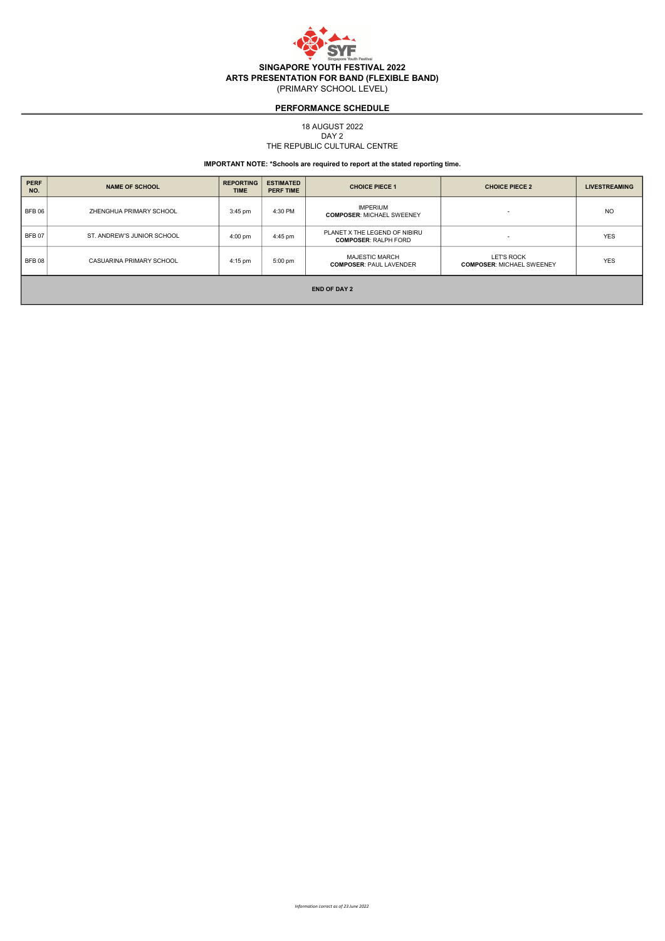

18 AUGUST 2022

THE REPUBLIC CULTURAL CENTRE DAY 2

## IMPORTANT NOTE: \*Schools are required to report at the stated reporting time.

| <b>PERF</b><br>NO.  | <b>NAME OF SCHOOL</b>      | <b>REPORTING</b><br><b>TIME</b> | <b>ESTIMATED</b><br><b>PERF TIME</b> | <b>CHOICE PIECE 1</b>                                        | <b>CHOICE PIECE 2</b>                                 | <b>LIVESTREAMING</b> |  |  |
|---------------------|----------------------------|---------------------------------|--------------------------------------|--------------------------------------------------------------|-------------------------------------------------------|----------------------|--|--|
| BFB 06              | ZHENGHUA PRIMARY SCHOOL    | $3:45$ pm                       | 4:30 PM                              | <b>IMPERIUM</b><br><b>COMPOSER: MICHAEL SWEENEY</b>          | $\overline{\phantom{0}}$                              | N <sub>O</sub>       |  |  |
| BFB <sub>07</sub>   | ST. ANDREW'S JUNIOR SCHOOL | 4:00 pm                         | 4:45 pm                              | PLANET X THE LEGEND OF NIBIRU<br><b>COMPOSER: RALPH FORD</b> | $\overline{\phantom{a}}$                              | <b>YES</b>           |  |  |
| BFB <sub>08</sub>   | CASUARINA PRIMARY SCHOOL   | 4:15 pm                         | 5:00 pm                              | <b>MAJESTIC MARCH</b><br><b>COMPOSER: PAUL LAVENDER</b>      | <b>LET'S ROCK</b><br><b>COMPOSER: MICHAEL SWEENEY</b> | <b>YES</b>           |  |  |
| <b>END OF DAY 2</b> |                            |                                 |                                      |                                                              |                                                       |                      |  |  |

Information correct as of 23 June 2022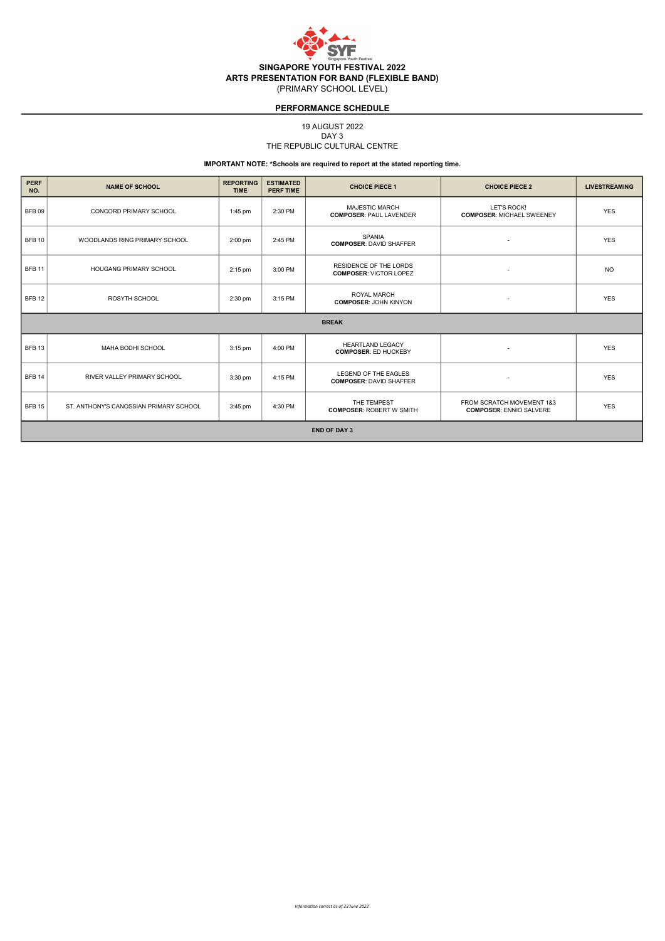

19 AUGUST 2022

#### THE REPUBLIC CULTURAL CENTRE DAY 3

| <b>PERF</b><br>NO.  | <b>NAME OF SCHOOL</b>                  | <b>REPORTING</b><br><b>TIME</b> | <b>ESTIMATED</b><br><b>PERF TIME</b> | <b>CHOICE PIECE 1</b>                                   | <b>CHOICE PIECE 2</b>                                       | <b>LIVESTREAMING</b> |  |  |
|---------------------|----------------------------------------|---------------------------------|--------------------------------------|---------------------------------------------------------|-------------------------------------------------------------|----------------------|--|--|
| BFB 09              | CONCORD PRIMARY SCHOOL                 | 1:45 pm                         | 2:30 PM                              | <b>MAJESTIC MARCH</b><br><b>COMPOSER: PAUL LAVENDER</b> | LET'S ROCK!<br><b>COMPOSER: MICHAEL SWEENEY</b>             | <b>YES</b>           |  |  |
| BFB 10              | WOODLANDS RING PRIMARY SCHOOL          | $2:00$ pm                       | 2:45 PM                              | SPANIA<br><b>COMPOSER: DAVID SHAFFER</b>                |                                                             | <b>YES</b>           |  |  |
| BFB <sub>11</sub>   | <b>HOUGANG PRIMARY SCHOOL</b>          | 2:15 pm                         | 3:00 PM                              | RESIDENCE OF THE LORDS<br><b>COMPOSER: VICTOR LOPEZ</b> |                                                             | <b>NO</b>            |  |  |
| BFB 12              | ROSYTH SCHOOL                          | 2:30 pm                         | 3:15 PM                              | <b>ROYAL MARCH</b><br><b>COMPOSER: JOHN KINYON</b>      | $\overline{\phantom{a}}$                                    | <b>YES</b>           |  |  |
|                     |                                        |                                 |                                      | <b>BREAK</b>                                            |                                                             |                      |  |  |
| BFB <sub>13</sub>   | MAHA BODHI SCHOOL                      | 3:15 pm                         | 4:00 PM                              | <b>HEARTLAND LEGACY</b><br><b>COMPOSER: ED HUCKEBY</b>  | $\overline{\phantom{a}}$                                    | <b>YES</b>           |  |  |
| BFB <sub>14</sub>   | RIVER VALLEY PRIMARY SCHOOL            | $3:30$ pm                       | 4:15 PM                              | LEGEND OF THE EAGLES<br><b>COMPOSER: DAVID SHAFFER</b>  | $\overline{\phantom{a}}$                                    | <b>YES</b>           |  |  |
| BFB <sub>15</sub>   | ST. ANTHONY'S CANOSSIAN PRIMARY SCHOOL | 3:45 pm                         | 4:30 PM                              | THE TEMPEST<br><b>COMPOSER: ROBERT W SMITH</b>          | FROM SCRATCH MOVEMENT 1&3<br><b>COMPOSER: ENNIO SALVERE</b> | <b>YES</b>           |  |  |
| <b>END OF DAY 3</b> |                                        |                                 |                                      |                                                         |                                                             |                      |  |  |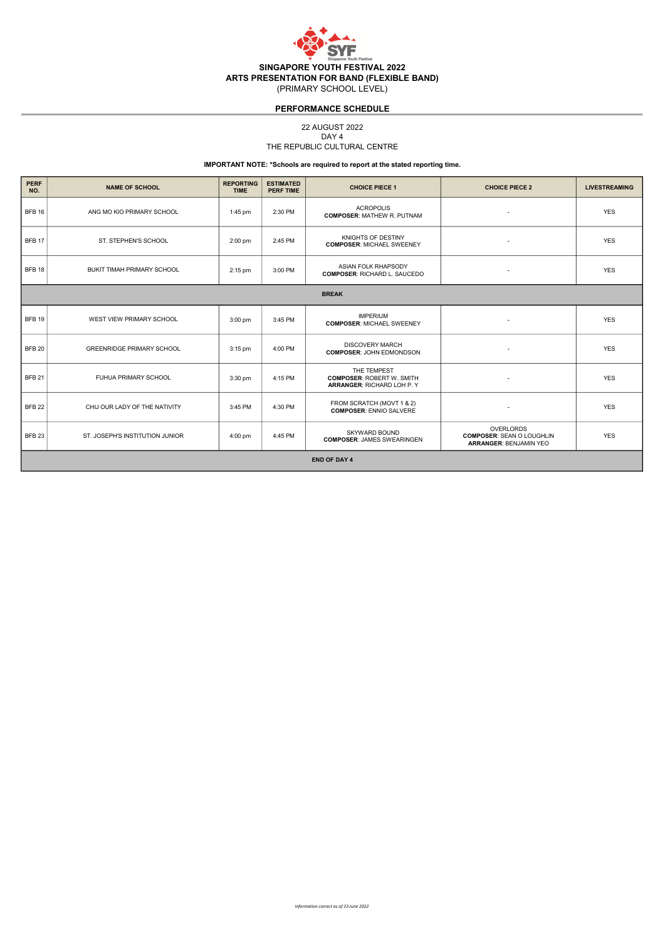

22 AUGUST 2022

#### THE REPUBLIC CULTURAL CENTRE DAY 4

| <b>PERF</b><br>NO. | <b>NAME OF SCHOOL</b>            | <b>REPORTING</b><br><b>TIME</b> | <b>ESTIMATED</b><br><b>PERF TIME</b> | <b>CHOICE PIECE 1</b>                                                        | <b>CHOICE PIECE 2</b>                                                          | <b>LIVESTREAMING</b> |  |  |  |
|--------------------|----------------------------------|---------------------------------|--------------------------------------|------------------------------------------------------------------------------|--------------------------------------------------------------------------------|----------------------|--|--|--|
| BFB <sub>16</sub>  | ANG MO KIO PRIMARY SCHOOL        | $1:45$ pm                       | 2:30 PM                              | <b>ACROPOLIS</b><br><b>COMPOSER: MATHEW R. PUTNAM</b>                        | $\overline{\phantom{a}}$                                                       | <b>YES</b>           |  |  |  |
| <b>BFB 17</b>      | ST. STEPHEN'S SCHOOL             | $2:00$ pm                       | 2:45 PM                              | KNIGHTS OF DESTINY<br><b>COMPOSER: MICHAEL SWEENEY</b>                       |                                                                                | <b>YES</b>           |  |  |  |
| BFB <sub>18</sub>  | BUKIT TIMAH PRIMARY SCHOOL       | 2:15 pm                         | 3:00 PM                              | ASIAN FOLK RHAPSODY<br><b>COMPOSER: RICHARD L. SAUCEDO</b>                   | $\overline{\phantom{a}}$                                                       | <b>YES</b>           |  |  |  |
|                    | <b>BREAK</b>                     |                                 |                                      |                                                                              |                                                                                |                      |  |  |  |
| <b>BFB 19</b>      | WEST VIEW PRIMARY SCHOOL         | $3:00$ pm                       | 3:45 PM                              | <b>IMPERIUM</b><br><b>COMPOSER: MICHAEL SWEENEY</b>                          | $\overline{\phantom{a}}$                                                       | <b>YES</b>           |  |  |  |
| <b>BFB 20</b>      | <b>GREENRIDGE PRIMARY SCHOOL</b> | $3:15$ pm                       | 4:00 PM                              | <b>DISCOVERY MARCH</b><br><b>COMPOSER: JOHN EDMONDSON</b>                    |                                                                                | <b>YES</b>           |  |  |  |
| BFB <sub>21</sub>  | FUHUA PRIMARY SCHOOL             | 3:30 pm                         | 4:15 PM                              | THE TEMPEST<br><b>COMPOSER: ROBERT W. SMITH</b><br>ARRANGER: RICHARD LOH P.Y |                                                                                | <b>YES</b>           |  |  |  |
| BFB <sub>22</sub>  | CHIJ OUR LADY OF THE NATIVITY    | 3:45 PM                         | 4:30 PM                              | FROM SCRATCH (MOVT 1 & 2)<br><b>COMPOSER: ENNIO SALVERE</b>                  |                                                                                | <b>YES</b>           |  |  |  |
| BFB <sub>23</sub>  | ST. JOSEPH'S INSTITUTION JUNIOR  | 4:00 pm                         | 4:45 PM                              | <b>SKYWARD BOUND</b><br><b>COMPOSER: JAMES SWEARINGEN</b>                    | OVERLORDS<br><b>COMPOSER: SEAN O LOUGHLIN</b><br><b>ARRANGER: BENJAMIN YEO</b> | <b>YES</b>           |  |  |  |
|                    | <b>END OF DAY 4</b>              |                                 |                                      |                                                                              |                                                                                |                      |  |  |  |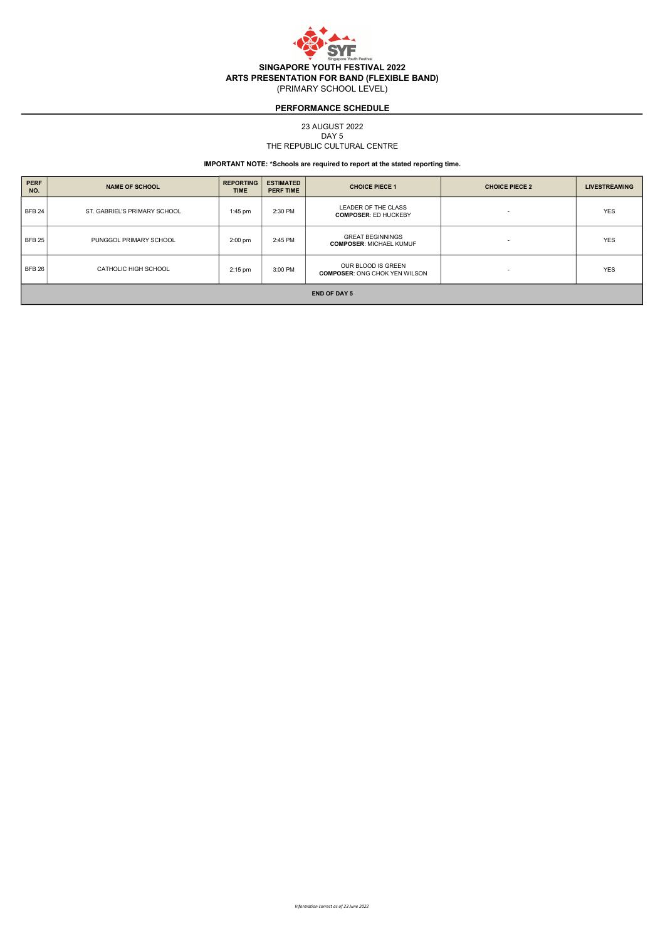

23 AUGUST 2022

#### THE REPUBLIC CULTURAL CENTRE DAY 5

| <b>PERF</b><br>NO.  | <b>NAME OF SCHOOL</b>        | <b>REPORTING</b><br><b>TIME</b> | <b>ESTIMATED</b><br><b>PERF TIME</b> | <b>CHOICE PIECE 1</b>                                      | <b>CHOICE PIECE 2</b>    | <b>LIVESTREAMING</b> |  |  |
|---------------------|------------------------------|---------------------------------|--------------------------------------|------------------------------------------------------------|--------------------------|----------------------|--|--|
| <b>BFB 24</b>       | ST. GABRIEL'S PRIMARY SCHOOL | $1:45$ pm                       | 2:30 PM                              | LEADER OF THE CLASS<br><b>COMPOSER: ED HUCKEBY</b>         | $\overline{\phantom{0}}$ | <b>YES</b>           |  |  |
| <b>BFB 25</b>       | PUNGGOL PRIMARY SCHOOL       | $2:00$ pm                       | 2:45 PM                              | <b>GREAT BEGINNINGS</b><br><b>COMPOSER: MICHAEL KUMUF</b>  |                          | <b>YES</b>           |  |  |
| BEB26               | CATHOLIC HIGH SCHOOL         | $2:15$ pm                       | 3:00 PM                              | OUR BLOOD IS GREEN<br><b>COMPOSER: ONG CHOK YEN WILSON</b> |                          | <b>YES</b>           |  |  |
| <b>END OF DAY 5</b> |                              |                                 |                                      |                                                            |                          |                      |  |  |